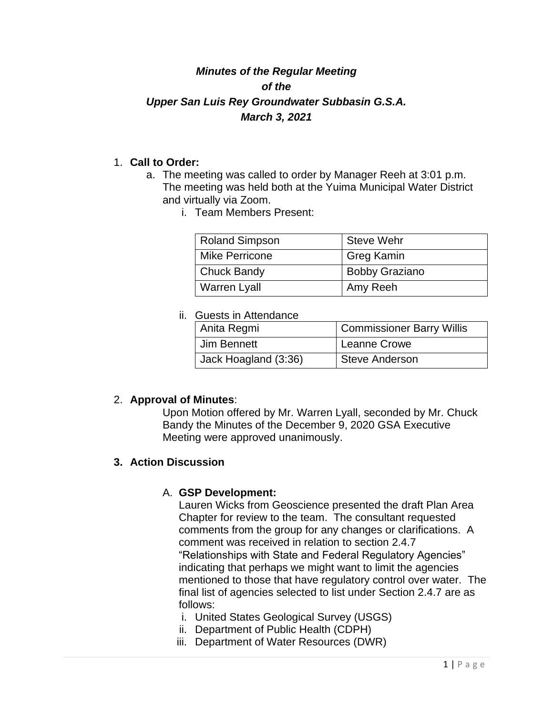# *Minutes of the Regular Meeting of the Upper San Luis Rey Groundwater Subbasin G.S.A. March 3, 2021*

### 1. **Call to Order:**

- a. The meeting was called to order by Manager Reeh at 3:01 p.m. The meeting was held both at the Yuima Municipal Water District and virtually via Zoom.
	- i. Team Members Present:

| <b>Roland Simpson</b> | <b>Steve Wehr</b>     |
|-----------------------|-----------------------|
| Mike Perricone        | <b>Greg Kamin</b>     |
| <b>Chuck Bandy</b>    | <b>Bobby Graziano</b> |
| <b>Warren Lyall</b>   | Amy Reeh              |

#### ii. Guests in Attendance

| Anita Regmi          | <b>Commissioner Barry Willis</b> |
|----------------------|----------------------------------|
| Jim Bennett          | Leanne Crowe                     |
| Jack Hoagland (3:36) | <b>Steve Anderson</b>            |

## 2. **Approval of Minutes**:

Upon Motion offered by Mr. Warren Lyall, seconded by Mr. Chuck Bandy the Minutes of the December 9, 2020 GSA Executive Meeting were approved unanimously.

#### **3. Action Discussion**

#### A. **GSP Development:**

Lauren Wicks from Geoscience presented the draft Plan Area Chapter for review to the team. The consultant requested comments from the group for any changes or clarifications. A comment was received in relation to section 2.4.7 "Relationships with State and Federal Regulatory Agencies" indicating that perhaps we might want to limit the agencies mentioned to those that have regulatory control over water. The final list of agencies selected to list under Section 2.4.7 are as follows:

- i. United States Geological Survey (USGS)
- ii. Department of Public Health (CDPH)
- iii. Department of Water Resources (DWR)